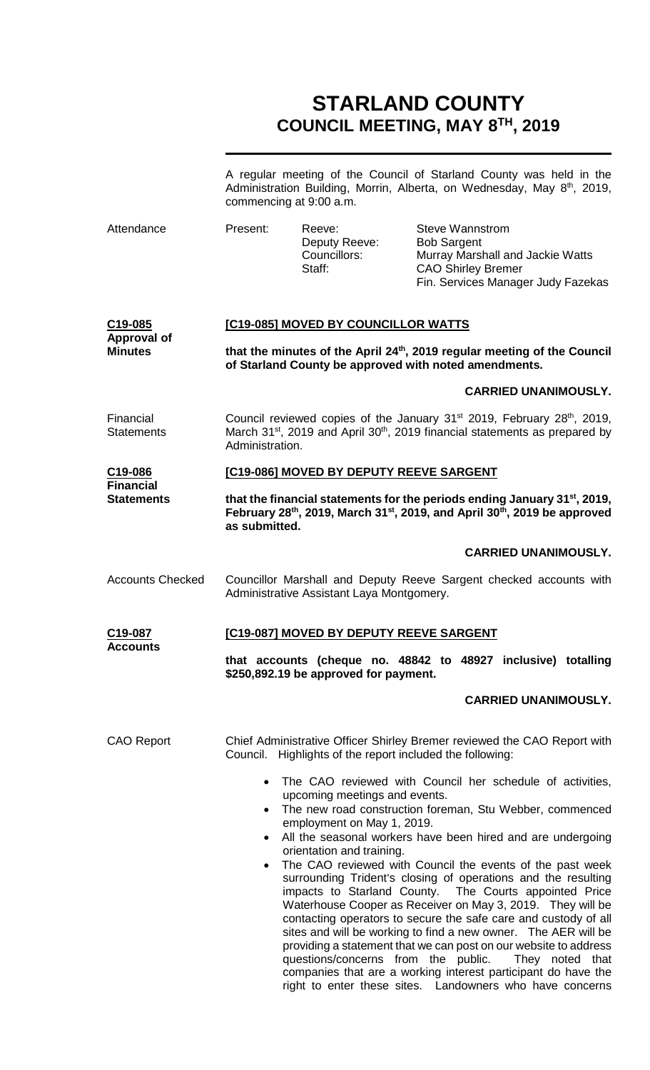# **STARLAND COUNTY COUNCIL MEETING, MAY 8TH, 2019**

|                                            | commencing at 9:00 a.m.                                                                                                                                                                                                  |                                                                                                                                 |                                                                           | A regular meeting of the Council of Starland County was held in the<br>Administration Building, Morrin, Alberta, on Wednesday, May 8 <sup>th</sup> , 2019,                                                                                                                                                                                                                                                                                                                                                                                                                                                                                                                                                                              |  |
|--------------------------------------------|--------------------------------------------------------------------------------------------------------------------------------------------------------------------------------------------------------------------------|---------------------------------------------------------------------------------------------------------------------------------|---------------------------------------------------------------------------|-----------------------------------------------------------------------------------------------------------------------------------------------------------------------------------------------------------------------------------------------------------------------------------------------------------------------------------------------------------------------------------------------------------------------------------------------------------------------------------------------------------------------------------------------------------------------------------------------------------------------------------------------------------------------------------------------------------------------------------------|--|
| Attendance                                 | Present:                                                                                                                                                                                                                 | Reeve:<br>Deputy Reeve:<br>Councillors:<br>Staff:                                                                               | <b>Steve Wannstrom</b><br><b>Bob Sargent</b><br><b>CAO Shirley Bremer</b> | Murray Marshall and Jackie Watts<br>Fin. Services Manager Judy Fazekas                                                                                                                                                                                                                                                                                                                                                                                                                                                                                                                                                                                                                                                                  |  |
| C <sub>19</sub> -085<br><b>Approval of</b> | [C19-085] MOVED BY COUNCILLOR WATTS                                                                                                                                                                                      |                                                                                                                                 |                                                                           |                                                                                                                                                                                                                                                                                                                                                                                                                                                                                                                                                                                                                                                                                                                                         |  |
| <b>Minutes</b>                             | that the minutes of the April 24th, 2019 regular meeting of the Council<br>of Starland County be approved with noted amendments.                                                                                         |                                                                                                                                 |                                                                           |                                                                                                                                                                                                                                                                                                                                                                                                                                                                                                                                                                                                                                                                                                                                         |  |
|                                            |                                                                                                                                                                                                                          |                                                                                                                                 |                                                                           | <b>CARRIED UNANIMOUSLY.</b>                                                                                                                                                                                                                                                                                                                                                                                                                                                                                                                                                                                                                                                                                                             |  |
| Financial<br><b>Statements</b>             | Administration.                                                                                                                                                                                                          |                                                                                                                                 |                                                                           | Council reviewed copies of the January 31 <sup>st</sup> 2019, February 28 <sup>th</sup> , 2019,<br>March 31 <sup>st</sup> , 2019 and April 30 <sup>th</sup> , 2019 financial statements as prepared by                                                                                                                                                                                                                                                                                                                                                                                                                                                                                                                                  |  |
| C <sub>19</sub> -086<br><b>Financial</b>   | [C19-086] MOVED BY DEPUTY REEVE SARGENT                                                                                                                                                                                  |                                                                                                                                 |                                                                           |                                                                                                                                                                                                                                                                                                                                                                                                                                                                                                                                                                                                                                                                                                                                         |  |
| <b>Statements</b>                          | that the financial statements for the periods ending January 31 <sup>st</sup> , 2019,<br>February 28 <sup>th</sup> , 2019, March 31 <sup>st</sup> , 2019, and April 30 <sup>th</sup> , 2019 be approved<br>as submitted. |                                                                                                                                 |                                                                           |                                                                                                                                                                                                                                                                                                                                                                                                                                                                                                                                                                                                                                                                                                                                         |  |
|                                            |                                                                                                                                                                                                                          |                                                                                                                                 |                                                                           | <b>CARRIED UNANIMOUSLY.</b>                                                                                                                                                                                                                                                                                                                                                                                                                                                                                                                                                                                                                                                                                                             |  |
| <b>Accounts Checked</b>                    |                                                                                                                                                                                                                          | Administrative Assistant Laya Montgomery.                                                                                       |                                                                           | Councillor Marshall and Deputy Reeve Sargent checked accounts with                                                                                                                                                                                                                                                                                                                                                                                                                                                                                                                                                                                                                                                                      |  |
| C19-087                                    | <b>[C19-087] MOVED BY DEPUTY REEVE SARGENT</b>                                                                                                                                                                           |                                                                                                                                 |                                                                           |                                                                                                                                                                                                                                                                                                                                                                                                                                                                                                                                                                                                                                                                                                                                         |  |
| <b>ACCOUNTS</b>                            |                                                                                                                                                                                                                          | \$250,892.19 be approved for payment.                                                                                           |                                                                           | that accounts (cheque no. 48842 to 48927 inclusive) totalling                                                                                                                                                                                                                                                                                                                                                                                                                                                                                                                                                                                                                                                                           |  |
|                                            |                                                                                                                                                                                                                          |                                                                                                                                 |                                                                           | <b>CARRIED UNANIMOUSLY.</b>                                                                                                                                                                                                                                                                                                                                                                                                                                                                                                                                                                                                                                                                                                             |  |
| <b>CAO Report</b>                          |                                                                                                                                                                                                                          | Council. Highlights of the report included the following:                                                                       |                                                                           | Chief Administrative Officer Shirley Bremer reviewed the CAO Report with                                                                                                                                                                                                                                                                                                                                                                                                                                                                                                                                                                                                                                                                |  |
|                                            | $\bullet$<br>$\bullet$<br>$\bullet$                                                                                                                                                                                      | upcoming meetings and events.<br>employment on May 1, 2019.<br>orientation and training.<br>questions/concerns from the public. |                                                                           | The CAO reviewed with Council her schedule of activities,<br>The new road construction foreman, Stu Webber, commenced<br>All the seasonal workers have been hired and are undergoing<br>The CAO reviewed with Council the events of the past week<br>surrounding Trident's closing of operations and the resulting<br>impacts to Starland County. The Courts appointed Price<br>Waterhouse Cooper as Receiver on May 3, 2019. They will be<br>contacting operators to secure the safe care and custody of all<br>sites and will be working to find a new owner. The AER will be<br>providing a statement that we can post on our website to address<br>They noted that<br>companies that are a working interest participant do have the |  |

right to enter these sites. Landowners who have concerns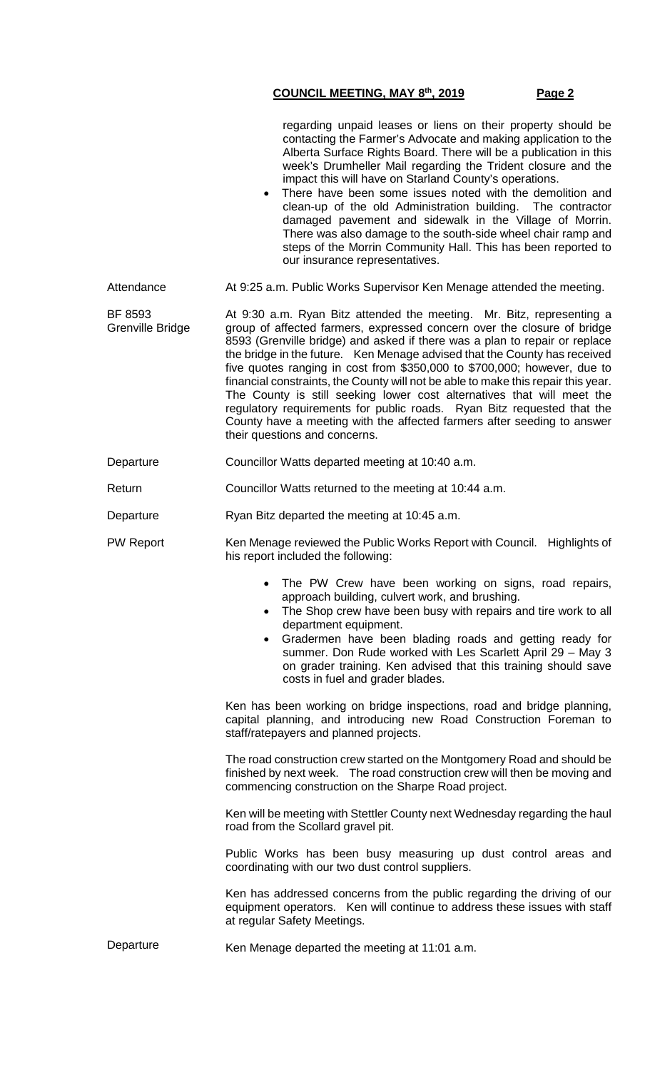|                             | regarding unpaid leases or liens on their property should be<br>contacting the Farmer's Advocate and making application to the<br>Alberta Surface Rights Board. There will be a publication in this<br>week's Drumheller Mail regarding the Trident closure and the<br>impact this will have on Starland County's operations.<br>There have been some issues noted with the demolition and<br>clean-up of the old Administration building. The contractor<br>damaged pavement and sidewalk in the Village of Morrin.<br>There was also damage to the south-side wheel chair ramp and<br>steps of the Morrin Community Hall. This has been reported to<br>our insurance representatives.                                                      |
|-----------------------------|----------------------------------------------------------------------------------------------------------------------------------------------------------------------------------------------------------------------------------------------------------------------------------------------------------------------------------------------------------------------------------------------------------------------------------------------------------------------------------------------------------------------------------------------------------------------------------------------------------------------------------------------------------------------------------------------------------------------------------------------|
| Attendance                  | At 9:25 a.m. Public Works Supervisor Ken Menage attended the meeting.                                                                                                                                                                                                                                                                                                                                                                                                                                                                                                                                                                                                                                                                        |
| BF 8593<br>Grenville Bridge | At 9:30 a.m. Ryan Bitz attended the meeting. Mr. Bitz, representing a<br>group of affected farmers, expressed concern over the closure of bridge<br>8593 (Grenville bridge) and asked if there was a plan to repair or replace<br>the bridge in the future. Ken Menage advised that the County has received<br>five quotes ranging in cost from \$350,000 to \$700,000; however, due to<br>financial constraints, the County will not be able to make this repair this year.<br>The County is still seeking lower cost alternatives that will meet the<br>regulatory requirements for public roads. Ryan Bitz requested that the<br>County have a meeting with the affected farmers after seeding to answer<br>their questions and concerns. |
| Departure                   | Councillor Watts departed meeting at 10:40 a.m.                                                                                                                                                                                                                                                                                                                                                                                                                                                                                                                                                                                                                                                                                              |
| Return                      | Councillor Watts returned to the meeting at 10:44 a.m.                                                                                                                                                                                                                                                                                                                                                                                                                                                                                                                                                                                                                                                                                       |
| Departure                   | Ryan Bitz departed the meeting at 10:45 a.m.                                                                                                                                                                                                                                                                                                                                                                                                                                                                                                                                                                                                                                                                                                 |
| <b>PW Report</b>            | Ken Menage reviewed the Public Works Report with Council. Highlights of<br>his report included the following:                                                                                                                                                                                                                                                                                                                                                                                                                                                                                                                                                                                                                                |
|                             | The PW Crew have been working on signs, road repairs,<br>approach building, culvert work, and brushing.<br>The Shop crew have been busy with repairs and tire work to all<br>$\bullet$<br>department equipment.<br>Gradermen have been blading roads and getting ready for<br>$\bullet$<br>summer. Don Rude worked with Les Scarlett April 29 - May 3<br>on grader training. Ken advised that this training should save<br>costs in fuel and grader blades.                                                                                                                                                                                                                                                                                  |
|                             | Ken has been working on bridge inspections, road and bridge planning,<br>capital planning, and introducing new Road Construction Foreman to<br>staff/ratepayers and planned projects.                                                                                                                                                                                                                                                                                                                                                                                                                                                                                                                                                        |
|                             | The road construction crew started on the Montgomery Road and should be<br>finished by next week. The road construction crew will then be moving and<br>commencing construction on the Sharpe Road project.                                                                                                                                                                                                                                                                                                                                                                                                                                                                                                                                  |
|                             | Ken will be meeting with Stettler County next Wednesday regarding the haul<br>road from the Scollard gravel pit.                                                                                                                                                                                                                                                                                                                                                                                                                                                                                                                                                                                                                             |
|                             | Public Works has been busy measuring up dust control areas and<br>coordinating with our two dust control suppliers.                                                                                                                                                                                                                                                                                                                                                                                                                                                                                                                                                                                                                          |
|                             | Ken has addressed concerns from the public regarding the driving of our<br>equipment operators. Ken will continue to address these issues with staff<br>at regular Safety Meetings.                                                                                                                                                                                                                                                                                                                                                                                                                                                                                                                                                          |
| Departure                   | Ken Menage departed the meeting at 11:01 a.m.                                                                                                                                                                                                                                                                                                                                                                                                                                                                                                                                                                                                                                                                                                |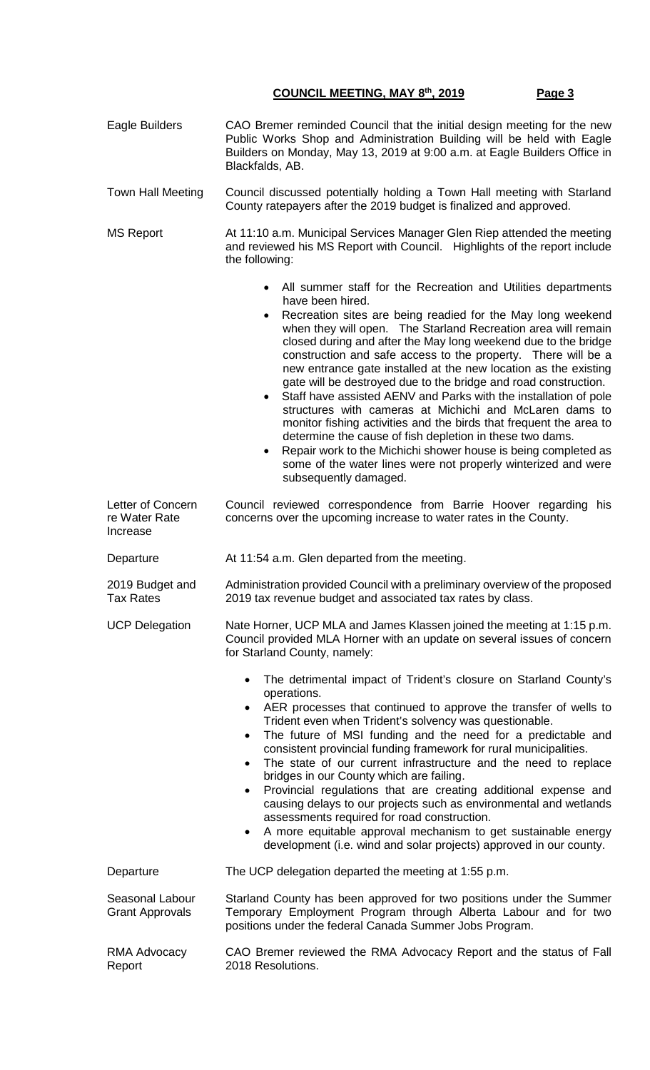| Eagle Builders                                 | CAO Bremer reminded Council that the initial design meeting for the new<br>Public Works Shop and Administration Building will be held with Eagle<br>Builders on Monday, May 13, 2019 at 9:00 a.m. at Eagle Builders Office in<br>Blackfalds, AB.                                                                                                                                                                                                                                                                                                                                                                                                                                                                                                                                                                                                                                                                                     |  |  |
|------------------------------------------------|--------------------------------------------------------------------------------------------------------------------------------------------------------------------------------------------------------------------------------------------------------------------------------------------------------------------------------------------------------------------------------------------------------------------------------------------------------------------------------------------------------------------------------------------------------------------------------------------------------------------------------------------------------------------------------------------------------------------------------------------------------------------------------------------------------------------------------------------------------------------------------------------------------------------------------------|--|--|
| <b>Town Hall Meeting</b>                       | Council discussed potentially holding a Town Hall meeting with Starland<br>County ratepayers after the 2019 budget is finalized and approved.                                                                                                                                                                                                                                                                                                                                                                                                                                                                                                                                                                                                                                                                                                                                                                                        |  |  |
| <b>MS Report</b>                               | At 11:10 a.m. Municipal Services Manager Glen Riep attended the meeting<br>and reviewed his MS Report with Council. Highlights of the report include<br>the following:                                                                                                                                                                                                                                                                                                                                                                                                                                                                                                                                                                                                                                                                                                                                                               |  |  |
|                                                | All summer staff for the Recreation and Utilities departments<br>have been hired.<br>Recreation sites are being readied for the May long weekend<br>when they will open. The Starland Recreation area will remain<br>closed during and after the May long weekend due to the bridge<br>construction and safe access to the property. There will be a<br>new entrance gate installed at the new location as the existing<br>gate will be destroyed due to the bridge and road construction.<br>Staff have assisted AENV and Parks with the installation of pole<br>structures with cameras at Michichi and McLaren dams to<br>monitor fishing activities and the birds that frequent the area to<br>determine the cause of fish depletion in these two dams.<br>Repair work to the Michichi shower house is being completed as<br>$\bullet$<br>some of the water lines were not properly winterized and were<br>subsequently damaged. |  |  |
| Letter of Concern<br>re Water Rate<br>Increase | Council reviewed correspondence from Barrie Hoover regarding his<br>concerns over the upcoming increase to water rates in the County.                                                                                                                                                                                                                                                                                                                                                                                                                                                                                                                                                                                                                                                                                                                                                                                                |  |  |
| Departure                                      | At 11:54 a.m. Glen departed from the meeting.                                                                                                                                                                                                                                                                                                                                                                                                                                                                                                                                                                                                                                                                                                                                                                                                                                                                                        |  |  |
| 2019 Budget and<br><b>Tax Rates</b>            | Administration provided Council with a preliminary overview of the proposed<br>2019 tax revenue budget and associated tax rates by class.                                                                                                                                                                                                                                                                                                                                                                                                                                                                                                                                                                                                                                                                                                                                                                                            |  |  |
| <b>UCP Delegation</b>                          | Nate Horner, UCP MLA and James Klassen joined the meeting at 1:15 p.m.<br>Council provided MLA Horner with an update on several issues of concern<br>for Starland County, namely:                                                                                                                                                                                                                                                                                                                                                                                                                                                                                                                                                                                                                                                                                                                                                    |  |  |
|                                                | The detrimental impact of Trident's closure on Starland County's<br>$\bullet$<br>operations.<br>AER processes that continued to approve the transfer of wells to<br>Trident even when Trident's solvency was questionable.<br>The future of MSI funding and the need for a predictable and<br>$\bullet$<br>consistent provincial funding framework for rural municipalities.<br>The state of our current infrastructure and the need to replace<br>$\bullet$<br>bridges in our County which are failing.<br>Provincial regulations that are creating additional expense and<br>$\bullet$<br>causing delays to our projects such as environmental and wetlands<br>assessments required for road construction.<br>A more equitable approval mechanism to get sustainable energy<br>$\bullet$<br>development (i.e. wind and solar projects) approved in our county.                                                                     |  |  |
| Departure                                      | The UCP delegation departed the meeting at 1:55 p.m.                                                                                                                                                                                                                                                                                                                                                                                                                                                                                                                                                                                                                                                                                                                                                                                                                                                                                 |  |  |
| Seasonal Labour<br><b>Grant Approvals</b>      | Starland County has been approved for two positions under the Summer<br>Temporary Employment Program through Alberta Labour and for two<br>positions under the federal Canada Summer Jobs Program.                                                                                                                                                                                                                                                                                                                                                                                                                                                                                                                                                                                                                                                                                                                                   |  |  |
| RMA Advocacy<br>Report                         | CAO Bremer reviewed the RMA Advocacy Report and the status of Fall<br>2018 Resolutions.                                                                                                                                                                                                                                                                                                                                                                                                                                                                                                                                                                                                                                                                                                                                                                                                                                              |  |  |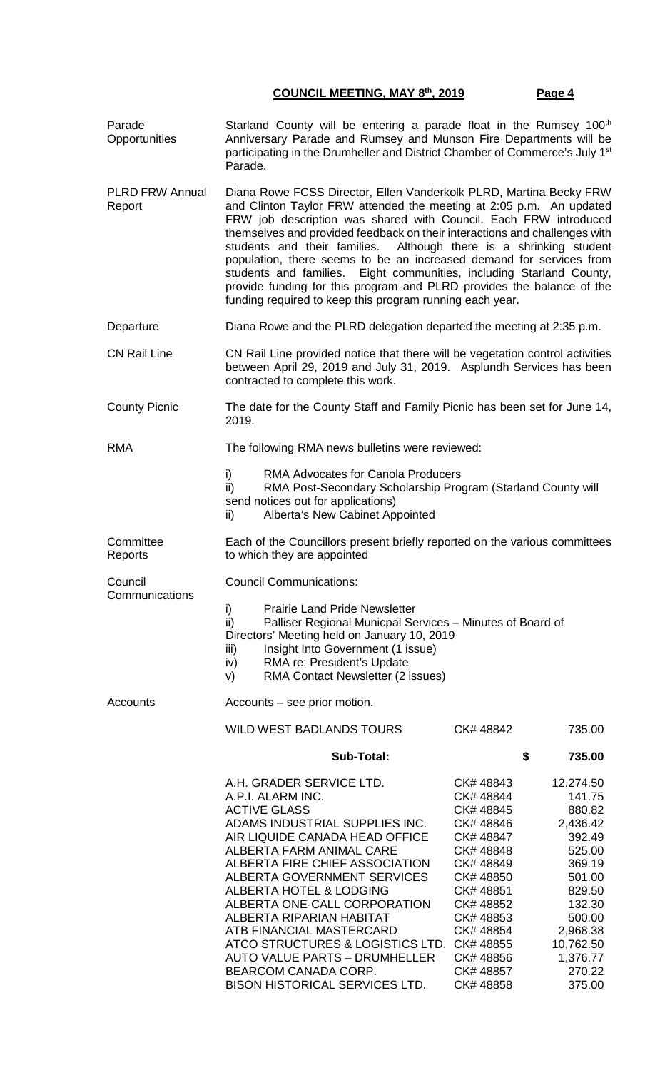| Parade<br>Opportunities          | Starland County will be entering a parade float in the Rumsey 100 <sup>th</sup><br>Anniversary Parade and Rumsey and Munson Fire Departments will be<br>participating in the Drumheller and District Chamber of Commerce's July 1 <sup>st</sup><br>Parade.                                                                                                                                                                                                                                                                                                                                                                                               |                                                                                                                                                                                             |                                                                                                                                                                          |  |
|----------------------------------|----------------------------------------------------------------------------------------------------------------------------------------------------------------------------------------------------------------------------------------------------------------------------------------------------------------------------------------------------------------------------------------------------------------------------------------------------------------------------------------------------------------------------------------------------------------------------------------------------------------------------------------------------------|---------------------------------------------------------------------------------------------------------------------------------------------------------------------------------------------|--------------------------------------------------------------------------------------------------------------------------------------------------------------------------|--|
| <b>PLRD FRW Annual</b><br>Report | Diana Rowe FCSS Director, Ellen Vanderkolk PLRD, Martina Becky FRW<br>and Clinton Taylor FRW attended the meeting at 2:05 p.m. An updated<br>FRW job description was shared with Council. Each FRW introduced<br>themselves and provided feedback on their interactions and challenges with<br>students and their families.<br>Although there is a shrinking student<br>population, there seems to be an increased demand for services from<br>students and families. Eight communities, including Starland County,<br>provide funding for this program and PLRD provides the balance of the<br>funding required to keep this program running each year. |                                                                                                                                                                                             |                                                                                                                                                                          |  |
| Departure                        | Diana Rowe and the PLRD delegation departed the meeting at 2:35 p.m.                                                                                                                                                                                                                                                                                                                                                                                                                                                                                                                                                                                     |                                                                                                                                                                                             |                                                                                                                                                                          |  |
| <b>CN Rail Line</b>              | CN Rail Line provided notice that there will be vegetation control activities<br>between April 29, 2019 and July 31, 2019. Asplundh Services has been<br>contracted to complete this work.                                                                                                                                                                                                                                                                                                                                                                                                                                                               |                                                                                                                                                                                             |                                                                                                                                                                          |  |
| <b>County Picnic</b>             | The date for the County Staff and Family Picnic has been set for June 14,<br>2019.                                                                                                                                                                                                                                                                                                                                                                                                                                                                                                                                                                       |                                                                                                                                                                                             |                                                                                                                                                                          |  |
| <b>RMA</b>                       | The following RMA news bulletins were reviewed:                                                                                                                                                                                                                                                                                                                                                                                                                                                                                                                                                                                                          |                                                                                                                                                                                             |                                                                                                                                                                          |  |
|                                  | i)<br><b>RMA Advocates for Canola Producers</b><br>$\mathsf{ii}$<br>RMA Post-Secondary Scholarship Program (Starland County will<br>send notices out for applications)<br>Alberta's New Cabinet Appointed<br>ii)                                                                                                                                                                                                                                                                                                                                                                                                                                         |                                                                                                                                                                                             |                                                                                                                                                                          |  |
| Committee<br>Reports             | Each of the Councillors present briefly reported on the various committees<br>to which they are appointed                                                                                                                                                                                                                                                                                                                                                                                                                                                                                                                                                |                                                                                                                                                                                             |                                                                                                                                                                          |  |
| Council<br>Communications        | <b>Council Communications:</b><br>i)<br><b>Prairie Land Pride Newsletter</b><br>ii)<br>Palliser Regional Municpal Services - Minutes of Board of<br>Directors' Meeting held on January 10, 2019<br>Insight Into Government (1 issue)<br>iii)<br>RMA re: President's Update<br>iv)<br>RMA Contact Newsletter (2 issues)<br>V)                                                                                                                                                                                                                                                                                                                             |                                                                                                                                                                                             |                                                                                                                                                                          |  |
| <b>Accounts</b>                  | Accounts – see prior motion.                                                                                                                                                                                                                                                                                                                                                                                                                                                                                                                                                                                                                             |                                                                                                                                                                                             |                                                                                                                                                                          |  |
|                                  | <b>WILD WEST BADLANDS TOURS</b>                                                                                                                                                                                                                                                                                                                                                                                                                                                                                                                                                                                                                          | CK# 48842                                                                                                                                                                                   | 735.00                                                                                                                                                                   |  |
|                                  | <b>Sub-Total:</b>                                                                                                                                                                                                                                                                                                                                                                                                                                                                                                                                                                                                                                        |                                                                                                                                                                                             | \$<br>735.00                                                                                                                                                             |  |
|                                  | A.H. GRADER SERVICE LTD.<br>A.P.I. ALARM INC.<br><b>ACTIVE GLASS</b><br>ADAMS INDUSTRIAL SUPPLIES INC.<br>AIR LIQUIDE CANADA HEAD OFFICE<br>ALBERTA FARM ANIMAL CARE<br>ALBERTA FIRE CHIEF ASSOCIATION<br>ALBERTA GOVERNMENT SERVICES<br>ALBERTA HOTEL & LODGING<br>ALBERTA ONE-CALL CORPORATION<br>ALBERTA RIPARIAN HABITAT<br>ATB FINANCIAL MASTERCARD<br>ATCO STRUCTURES & LOGISTICS LTD. CK# 48855<br><b>AUTO VALUE PARTS - DRUMHELLER</b><br>BEARCOM CANADA CORP.<br><b>BISON HISTORICAL SERVICES LTD.</b>                                                                                                                                          | CK#48843<br>CK# 48844<br>CK# 48845<br>CK# 48846<br>CK# 48847<br>CK# 48848<br>CK# 48849<br>CK#48850<br>CK#48851<br>CK# 48852<br>CK#48853<br>CK# 48854<br>CK# 48856<br>CK# 48857<br>CK# 48858 | 12,274.50<br>141.75<br>880.82<br>2,436.42<br>392.49<br>525.00<br>369.19<br>501.00<br>829.50<br>132.30<br>500.00<br>2,968.38<br>10,762.50<br>1,376.77<br>270.22<br>375.00 |  |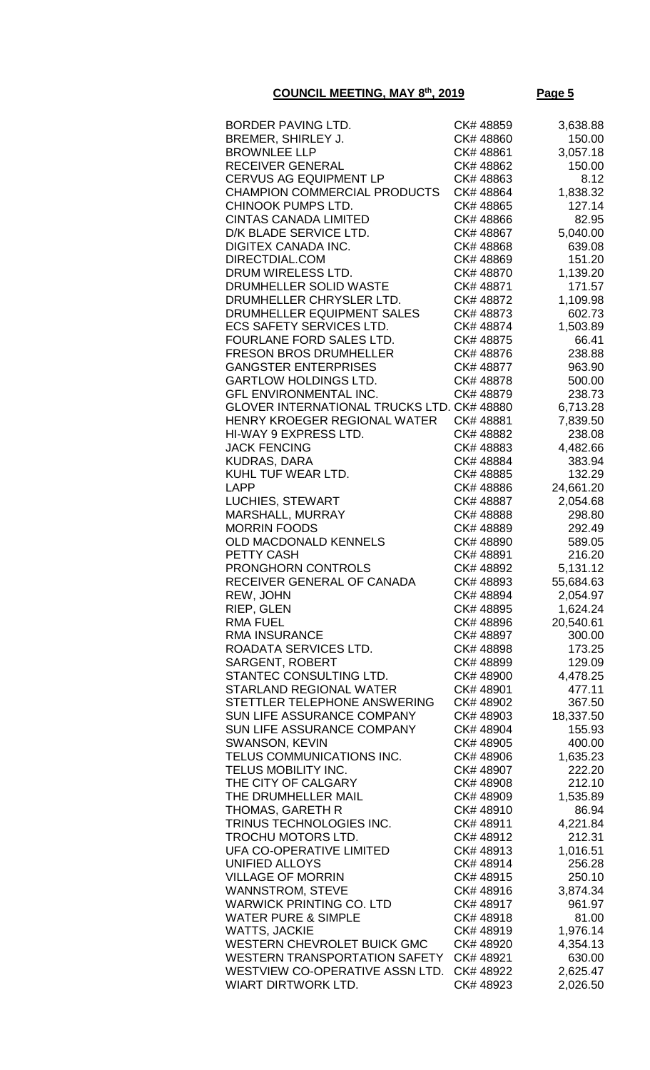| BORDER PAVING LTD.                                | CK# 48859 | 3,638.88  |
|---------------------------------------------------|-----------|-----------|
| BREMER, SHIRLEY J.                                | CK# 48860 | 150.00    |
| <b>BROWNLEE LLP</b>                               | CK# 48861 | 3,057.18  |
| <b>RECEIVER GENERAL</b>                           | CK# 48862 | 150.00    |
| <b>CERVUS AG EQUIPMENT LP</b>                     | CK#48863  | 8.12      |
| <b>CHAMPION COMMERCIAL PRODUCTS</b>               | CK# 48864 | 1,838.32  |
| CHINOOK PUMPS LTD.                                | CK# 48865 | 127.14    |
| <b>CINTAS CANADA LIMITED</b>                      | CK# 48866 | 82.95     |
| D/K BLADE SERVICE LTD.                            | CK# 48867 | 5,040.00  |
| DIGITEX CANADA INC.                               | CK#48868  | 639.08    |
| DIRECTDIAL.COM                                    | CK# 48869 | 151.20    |
| DRUM WIRELESS LTD.                                | CK# 48870 | 1,139.20  |
| DRUMHELLER SOLID WASTE                            | CK# 48871 | 171.57    |
|                                                   |           |           |
| DRUMHELLER CHRYSLER LTD.                          | CK# 48872 | 1,109.98  |
| DRUMHELLER EQUIPMENT SALES                        | CK# 48873 | 602.73    |
| <b>ECS SAFETY SERVICES LTD.</b>                   | CK# 48874 | 1,503.89  |
| FOURLANE FORD SALES LTD.                          | CK# 48875 | 66.41     |
| <b>FRESON BROS DRUMHELLER</b>                     | CK# 48876 | 238.88    |
| <b>GANGSTER ENTERPRISES</b>                       | CK# 48877 | 963.90    |
| <b>GARTLOW HOLDINGS LTD.</b>                      | CK# 48878 | 500.00    |
| <b>GFL ENVIRONMENTAL INC.</b>                     | CK# 48879 | 238.73    |
| <b>GLOVER INTERNATIONAL TRUCKS LTD. CK# 48880</b> |           | 6,713.28  |
| HENRY KROEGER REGIONAL WATER                      | CK#48881  | 7,839.50  |
| HI-WAY 9 EXPRESS LTD.                             | CK# 48882 | 238.08    |
| <b>JACK FENCING</b>                               | CK#48883  | 4,482.66  |
| <b>KUDRAS, DARA</b>                               | CK# 48884 | 383.94    |
| KUHL TUF WEAR LTD.                                | CK# 48885 | 132.29    |
| LAPP                                              | CK# 48886 | 24,661.20 |
| LUCHIES, STEWART                                  | CK# 48887 | 2,054.68  |
| MARSHALL, MURRAY                                  | CK# 48888 | 298.80    |
| <b>MORRIN FOODS</b>                               | CK# 48889 | 292.49    |
| OLD MACDONALD KENNELS                             | CK# 48890 | 589.05    |
| PETTY CASH                                        | CK# 48891 | 216.20    |
| PRONGHORN CONTROLS                                | CK# 48892 | 5,131.12  |
| RECEIVER GENERAL OF CANADA                        | CK#48893  | 55,684.63 |
| REW, JOHN                                         | CK# 48894 | 2,054.97  |
| RIEP, GLEN                                        | CK#48895  | 1,624.24  |
| <b>RMA FUEL</b>                                   | CK# 48896 | 20,540.61 |
| <b>RMA INSURANCE</b>                              | CK# 48897 | 300.00    |
| ROADATA SERVICES LTD.                             | CK# 48898 | 173.25    |
| SARGENT, ROBERT                                   | CK# 48899 | 129.09    |
| STANTEC CONSULTING LTD.                           | CK# 48900 | 4,478.25  |
| <b>STARLAND REGIONAL WATER</b>                    | CK# 48901 | 477.11    |
| STETTLER TELEPHONE ANSWERING                      | CK# 48902 | 367.50    |
| <b>SUN LIFE ASSURANCE COMPANY</b>                 | CK# 48903 | 18,337.50 |
| SUN LIFE ASSURANCE COMPANY                        | CK# 48904 | 155.93    |
| <b>SWANSON, KEVIN</b>                             | CK# 48905 | 400.00    |
| TELUS COMMUNICATIONS INC.                         | CK# 48906 | 1,635.23  |
| TELUS MOBILITY INC.                               | CK# 48907 | 222.20    |
| THE CITY OF CALGARY                               | CK# 48908 | 212.10    |
| THE DRUMHELLER MAIL                               | CK# 48909 | 1,535.89  |
| <b>THOMAS, GARETH R</b>                           | CK#48910  | 86.94     |
| TRINUS TECHNOLOGIES INC.                          | CK# 48911 | 4,221.84  |
| TROCHU MOTORS LTD.                                | CK# 48912 | 212.31    |
| <b>UFA CO-OPERATIVE LIMITED</b>                   | CK#48913  | 1,016.51  |
| <b>UNIFIED ALLOYS</b>                             | CK# 48914 | 256.28    |
| <b>VILLAGE OF MORRIN</b>                          | CK# 48915 | 250.10    |
| <b>WANNSTROM, STEVE</b>                           | CK#48916  | 3,874.34  |
| <b>WARWICK PRINTING CO. LTD</b>                   | CK# 48917 | 961.97    |
| <b>WATER PURE &amp; SIMPLE</b>                    | CK# 48918 | 81.00     |
| <b>WATTS, JACKIE</b>                              | CK#48919  | 1,976.14  |
| <b>WESTERN CHEVROLET BUICK GMC</b>                | CK# 48920 | 4,354.13  |
| <b>WESTERN TRANSPORTATION SAFETY</b>              | CK# 48921 | 630.00    |
| WESTVIEW CO-OPERATIVE ASSN LTD.                   | CK# 48922 | 2,625.47  |
| WIART DIRTWORK LTD.                               | CK# 48923 | 2,026.50  |
|                                                   |           |           |